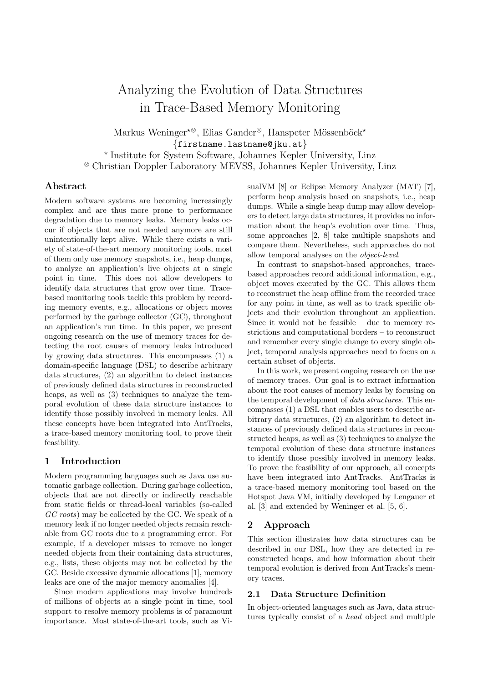# Analyzing the Evolution of Data Structures in Trace-Based Memory Monitoring

Markus Weninger<sup>\*⊗</sup>, Elias Gander<sup>⊗</sup>, Hanspeter Mössenböck<sup>\*</sup> {firstname.lastname@jku.at} ? Institute for System Software, Johannes Kepler University, Linz

<sup>⊗</sup> Christian Doppler Laboratory MEVSS, Johannes Kepler University, Linz

# Abstract

Modern software systems are becoming increasingly complex and are thus more prone to performance degradation due to memory leaks. Memory leaks occur if objects that are not needed anymore are still unintentionally kept alive. While there exists a variety of state-of-the-art memory monitoring tools, most of them only use memory snapshots, i.e., heap dumps, to analyze an application's live objects at a single point in time. This does not allow developers to identify data structures that grow over time. Tracebased monitoring tools tackle this problem by recording memory events, e.g., allocations or object moves performed by the garbage collector (GC), throughout an application's run time. In this paper, we present ongoing research on the use of memory traces for detecting the root causes of memory leaks introduced by growing data structures. This encompasses (1) a domain-specific language (DSL) to describe arbitrary data structures, (2) an algorithm to detect instances of previously defined data structures in reconstructed heaps, as well as (3) techniques to analyze the temporal evolution of these data structure instances to identify those possibly involved in memory leaks. All these concepts have been integrated into AntTracks, a trace-based memory monitoring tool, to prove their feasibility.

# 1 Introduction

Modern programming languages such as Java use automatic garbage collection. During garbage collection, objects that are not directly or indirectly reachable from static fields or thread-local variables (so-called GC roots) may be collected by the GC. We speak of a memory leak if no longer needed objects remain reachable from GC roots due to a programming error. For example, if a developer misses to remove no longer needed objects from their containing data structures, e.g., lists, these objects may not be collected by the GC. Beside excessive dynamic allocations [\[1\]](#page-2-0), memory leaks are one of the major memory anomalies [\[4\]](#page-2-1).

Since modern applications may involve hundreds of millions of objects at a single point in time, tool support to resolve memory problems is of paramount importance. Most state-of-the-art tools, such as VisualVM [\[8\]](#page-2-2) or Eclipse Memory Analyzer (MAT) [\[7\]](#page-2-3), perform heap analysis based on snapshots, i.e., heap dumps. While a single heap dump may allow developers to detect large data structures, it provides no information about the heap's evolution over time. Thus, some approaches [\[2,](#page-2-4) [8\]](#page-2-2) take multiple snapshots and compare them. Nevertheless, such approaches do not allow temporal analyses on the object-level.

In contrast to snapshot-based approaches, tracebased approaches record additional information, e.g., object moves executed by the GC. This allows them to reconstruct the heap offline from the recorded trace for any point in time, as well as to track specific objects and their evolution throughout an application. Since it would not be feasible – due to memory restrictions and computational borders – to reconstruct and remember every single change to every single object, temporal analysis approaches need to focus on a certain subset of objects.

In this work, we present ongoing research on the use of memory traces. Our goal is to extract information about the root causes of memory leaks by focusing on the temporal development of data structures. This encompasses (1) a DSL that enables users to describe arbitrary data structures, (2) an algorithm to detect instances of previously defined data structures in reconstructed heaps, as well as (3) techniques to analyze the temporal evolution of these data structure instances to identify those possibly involved in memory leaks. To prove the feasibility of our approach, all concepts have been integrated into AntTracks. AntTracks is a trace-based memory monitoring tool based on the Hotspot Java VM, initially developed by Lengauer et al. [\[3\]](#page-2-5) and extended by Weninger et al. [\[5,](#page-2-6) [6\]](#page-2-7).

# 2 Approach

This section illustrates how data structures can be described in our DSL, how they are detected in reconstructed heaps, and how information about their temporal evolution is derived from AntTracks's memory traces.

#### 2.1 Data Structure Definition

In object-oriented languages such as Java, data structures typically consist of a head object and multiple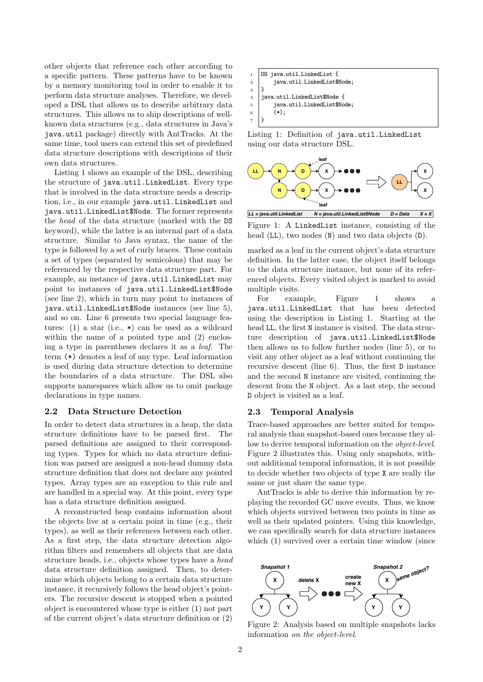other objects that reference each other according to a specific pattern. These patterns have to be known by a memory monitoring tool in order to enable it to perform data structure analyses. Therefore, we developed a DSL that allows us to describe arbitrary data structures. This allows us to ship descriptions of wellknown data structures (e.g., data structures in Java's java.util package) directly with AntTracks. At the same time, tool users can extend this set of predefined data structure descriptions with descriptions of their own data structures.

[Listing 1](#page-1-0) shows an example of the DSL, describing the structure of java.util.LinkedList. Every type that is involved in the data structure needs a description, i.e., in our example java.util.LinkedList and java.util.LinkedList\$Node. The former represents the head of the data structure (marked with the DS keyword), while the latter is an internal part of a data structure. Similar to Java syntax, the name of the type is followed by a set of curly braces. These contain a set of types (separated by semicolons) that may be referenced by the respective data structure part. For example, an instance of java.util.LinkedList may point to instances of java.util.LinkedList\$Node (see line 2), which in turn may point to instances of java.util.LinkedList\$Node instances (see line 5), and so on. Line 6 presents two special language features:  $(1)$  a star  $(i.e., *)$  can be used as a wildcard within the name of a pointed type and  $(2)$  enclosing a type in parentheses declares it as a leaf. The term (\*) denotes a leaf of any type. Leaf information is used during data structure detection to determine the boundaries of a data structure. The DSL also supports namespaces which allow us to omit package declarations in type names.

### 2.2 Data Structure Detection

In order to detect data structures in a heap, the data structure definitions have to be parsed first. The parsed definitions are assigned to their corresponding types. Types for which no data structure definition was parsed are assigned a non-head dummy data structure definition that does not declare any pointed types. Array types are an exception to this rule and are handled in a special way. At this point, every type has a data structure definition assigned.

A reconstructed heap contains information about the objects live at a certain point in time (e.g., their types), as well as their references between each other. As a first step, the data structure detection algorithm filters and remembers all objects that are data structure heads, i.e., objects whose types have a head data structure definition assigned. Then, to determine which objects belong to a certain data structure instance, it recursively follows the head object's pointers. The recursive descent is stopped when a pointed object is encountered whose type is either (1) not part of the current object's data structure definition or (2)

<span id="page-1-0"></span>

| $1$ DS java.util.LinkedList {                                      |
|--------------------------------------------------------------------|
| $\begin{bmatrix} 2 \\ 3 \end{bmatrix}$ java.util.LinkedList\$Node; |
|                                                                    |
| $4$   java.util.LinkedList\$Node {                                 |
| java.util.LinkedList\$Node;<br>$5 \mid$                            |
| $\begin{bmatrix} 6 \\ 7 \end{bmatrix}$ (*);                        |
|                                                                    |

Listing 1: Definition of java.util.LinkedList using our data structure DSL.

<span id="page-1-1"></span>

Figure 1: A LinkedList instance, consisting of the head (LL), two nodes (N) and two data objects (D).

marked as a leaf in the current object's data structure definition. In the latter case, the object itself belongs to the data structure instance, but none of its referenced objects. Every visited object is marked to avoid multiple visits.

For example, [Figure 1](#page-1-1) shows a java.util.LinkedList that has been detected using the description in [Listing 1.](#page-1-0) Starting at the head LL, the first N instance is visited. The data structure description of java.util.LinkedList\$Node then allows us to follow further nodes (line 5), or to visit any other object as a leaf without continuing the recursive descent (line 6). Thus, the first D instance and the second N instance are visited, continuing the descent from the N object. As a last step, the second D object is visited as a leaf.

#### 2.3 Temporal Analysis

Trace-based approaches are better suited for temporal analysis than snapshot-based ones because they allow to derive temporal information on the object-level. [Figure 2](#page-1-2) illustrates this. Using only snapshots, without additional temporal information, it is not possible to decide whether two objects of type X are really the same or just share the same type.

AntTracks is able to derive this information by replaying the recorded GC move events. Thus, we know which objects survived between two points in time as well as their updated pointers. Using this knowledge, we can specifically search for data structure instances which (1) survived over a certain time window (since

<span id="page-1-2"></span>

Figure 2: Analysis based on multiple snapshots lacks information on the object-level.